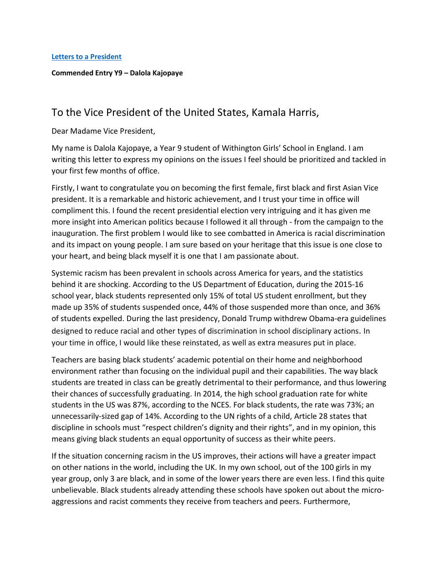**Letters to [a President](https://www.alc.manchester.ac.uk/connect/schools/outreach/as-competition/)**

## **Commended Entry Y9 – Dalola Kajopaye**

## To the Vice President of the United States, Kamala Harris,

Dear Madame Vice President,

My name is Dalola Kajopaye, a Year 9 student of Withington Girls' School in England. I am writing this letter to express my opinions on the issues I feel should be prioritized and tackled in your first few months of office.

Firstly, I want to congratulate you on becoming the first female, first black and first Asian Vice president. It is a remarkable and historic achievement, and I trust your time in office will compliment this. I found the recent presidential election very intriguing and it has given me more insight into American politics because I followed it all through - from the campaign to the inauguration. The first problem I would like to see combatted in America is racial discrimination and its impact on young people. I am sure based on your heritage that this issue is one close to your heart, and being black myself it is one that I am passionate about.

Systemic racism has been prevalent in schools across America for years, and the statistics behind it are shocking. According to the US Department of Education, during the 2015-16 school year, black students represented only 15% of total US student enrollment, but they made up 35% of students suspended once, 44% of those suspended more than once, and 36% of students expelled. During the last presidency, Donald Trump withdrew Obama-era guidelines designed to reduce racial and other types of discrimination in school disciplinary actions. In your time in office, I would like these reinstated, as well as extra measures put in place.

Teachers are basing black students' academic potential on their home and neighborhood environment rather than focusing on the individual pupil and their capabilities. The way black students are treated in class can be greatly detrimental to their performance, and thus lowering their chances of successfully graduating. In 2014, the high school graduation rate for white students in the US was 87%, according to the NCES. For black students, the rate was 73%; an unnecessarily-sized gap of 14%. According to the UN rights of a child, Article 28 states that discipline in schools must "respect children's dignity and their rights", and in my opinion, this means giving black students an equal opportunity of success as their white peers.

If the situation concerning racism in the US improves, their actions will have a greater impact on other nations in the world, including the UK. In my own school, out of the 100 girls in my year group, only 3 are black, and in some of the lower years there are even less. I find this quite unbelievable. Black students already attending these schools have spoken out about the microaggressions and racist comments they receive from teachers and peers. Furthermore,